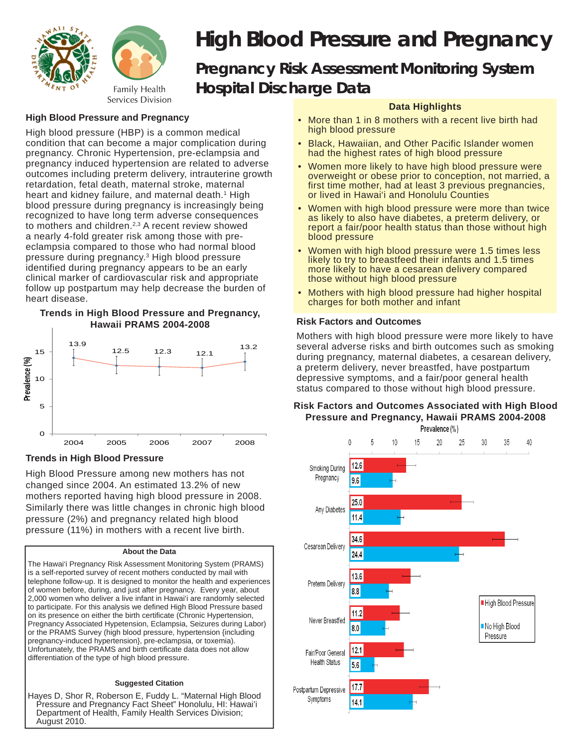

# *High Blood Pressure and Pregnancy Pregnancy Risk Assessment Monitoring System Hospital Discharge Data*

## **High Blood Pressure and Pregnancy**

High blood pressure (HBP) is a common medical condition that can become a major complication during pregnancy. Chronic Hypertension, pre-eclampsia and pregnancy induced hypertension are related to adverse outcomes including preterm delivery, intrauterine growth retardation, fetal death, maternal stroke, maternal heart and kidney failure, and maternal death.<sup>1</sup> High blood pressure during pregnancy is increasingly being recognized to have long term adverse consequences to mothers and children.<sup>2,3</sup> A recent review showed a nearly 4-fold greater risk among those with preeclampsia compared to those who had normal blood pressure during pregnancy.3 High blood pressure identified during pregnancy appears to be an early clinical marker of cardiovascular risk and appropriate follow up postpartum may help decrease the burden of heart disease.

#### **Trends in High Blood Pressure and Pregnancy, Hawaii PRAMS 2004-2008**



### **Trends in High Blood Pressure**

High Blood Pressure among new mothers has not changed since 2004. An estimated 13.2% of new mothers reported having high blood pressure in 2008. Similarly there was little changes in chronic high blood pressure (2%) and pregnancy related high blood pressure (11%) in mothers with a recent live birth.

#### **About the Data**

The Hawai'i Pregnancy Risk Assessment Monitoring System (PRAMS) is a self-reported survey of recent mothers conducted by mail with telephone follow-up. It is designed to monitor the health and experiences of women before, during, and just after pregnancy. Every year, about 2,000 women who deliver a live infant in Hawai'i are randomly selected to participate. For this analysis we defined High Blood Pressure based on its presence on either the birth certificate (Chronic Hypertension, Pregnancy Associated Hypetension, Eclampsia, Seizures during Labor) or the PRAMS Survey (high blood pressure, hypertension {including pregnancy-induced hypertension}, pre-eclampsia, or toxemia). Unfortunately, the PRAMS and birth certificate data does not allow differentiation of the type of high blood pressure.

#### **Suggested Citation**

Hayes D, Shor R, Roberson E, Fuddy L. "Maternal High Blood Pressure and Pregnancy Fact Sheet" Honolulu, HI: Hawai'i Department of Health, Family Health Services Division; August 2010.

## **Data Highlights**

- More than 1 in 8 mothers with a recent live birth had high blood pressure
- Black, Hawaiian, and Other Pacific Islander women had the highest rates of high blood pressure
- Women more likely to have high blood pressure were overweight or obese prior to conception, not married, a first time mother, had at least 3 previous pregnancies, or lived in Hawai'i and Honolulu Counties
- Women with high blood pressure were more than twice as likely to also have diabetes, a preterm delivery, or report a fair/poor health status than those without high blood pressure
- Women with high blood pressure were 1.5 times less likely to try to breastfeed their infants and 1.5 times more likely to have a cesarean delivery compared those without high blood pressure
- Mothers with high blood pressure had higher hospital charges for both mother and infant

## **Risk Factors and Outcomes**

Mothers with high blood pressure were more likely to have several adverse risks and birth outcomes such as smoking during pregnancy, maternal diabetes, a cesarean delivery, a preterm delivery, never breastfed, have postpartum depressive symptoms, and a fair/poor general health status compared to those without high blood pressure.

## **Risk Factors and Outcomes Associated with High Blood Pressure and Pregnancy, Hawaii PRAMS 2004-2008**